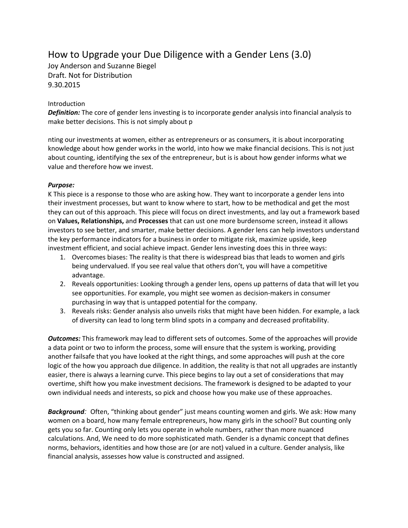# How to Upgrade your Due Diligence with a Gender Lens (3.0)

Joy Anderson and Suzanne Biegel Draft. Not for Distribution 9.30.2015

#### Introduction

*Definition:* The core of gender lens investing is to incorporate gender analysis into financial analysis to make better decisions. This is not simply about p

nting our investments at women, either as entrepreneurs or as consumers, it is about incorporating knowledge about how gender works in the world, into how we make financial decisions. This is not just about counting, identifying the sex of the entrepreneur, but is is about how gender informs what we value and therefore how we invest.

### *Purpose:*

K This piece is a response to those who are asking how. They want to incorporate a gender lens into their investment processes, but want to know where to start, how to be methodical and get the most they can out of this approach. This piece will focus on direct investments, and lay out a framework based on **Values, Relationships,** and **Processes** that can ust one more burdensome screen, instead it allows investors to see better, and smarter, make better decisions. A gender lens can help investors understand the key performance indicators for a business in order to mitigate risk, maximize upside, keep investment efficient, and social achieve impact. Gender lens investing does this in three ways:

- 1. Overcomes biases: The reality is that there is widespread bias that leads to women and girls being undervalued. If you see real value that others don't, you will have a competitive advantage.
- 2. Reveals opportunities: Looking through a gender lens, opens up patterns of data that will let you see opportunities. For example, you might see women as decision-makers in consumer purchasing in way that is untapped potential for the company.
- 3. Reveals risks: Gender analysis also unveils risks that might have been hidden. For example, a lack of diversity can lead to long term blind spots in a company and decreased profitability.

*Outcomes:* This framework may lead to different sets of outcomes. Some of the approaches will provide a data point or two to inform the process, some will ensure that the system is working, providing another failsafe that you have looked at the right things, and some approaches will push at the core logic of the how you approach due diligence. In addition, the reality is that not all upgrades are instantly easier, there is always a learning curve. This piece begins to lay out a set of considerations that may overtime, shift how you make investment decisions. The framework is designed to be adapted to your own individual needs and interests, so pick and choose how you make use of these approaches.

**Background**: Often, "thinking about gender" just means counting women and girls. We ask: How many women on a board, how many female entrepreneurs, how many girls in the school? But counting only gets you so far. Counting only lets you operate in whole numbers, rather than more nuanced calculations. And, We need to do more sophisticated math. Gender is a dynamic concept that defines norms, behaviors, identities and how those are (or are not) valued in a culture. Gender analysis, like financial analysis, assesses how value is constructed and assigned.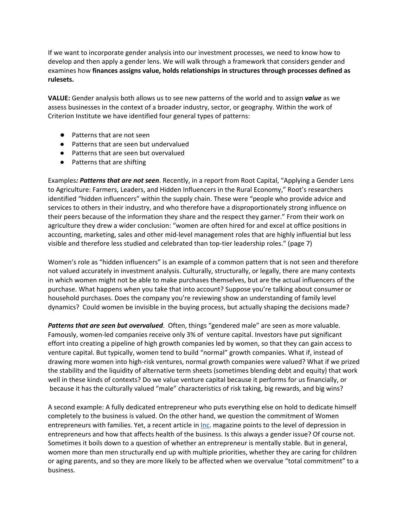If we want to incorporate gender analysis into our investment processes, we need to know how to develop and then apply a gender lens. We will walk through a framework that considers gender and examines how **finances assigns value, holds relationships in structures through processes defined as rulesets.**

**VALUE:** Gender analysis both allows us to see new patterns of the world and to assign *value* as we assess businesses in the context of a broader industry, sector, or geography. Within the work of Criterion Institute we have identified four general types of patterns:

- Patterns that are not seen
- Patterns that are seen but undervalued
- Patterns that are seen but overvalued
- Patterns that are shifting

Examples*: Patterns that are not seen*. Recently, in a report from Root Capital, "Applying a Gender Lens to Agriculture: Farmers, Leaders, and Hidden Influencers in the Rural Economy," Root's researchers identified "hidden influencers" within the supply chain. These were "people who provide advice and services to others in their industry, and who therefore have a disproportionately strong influence on their peers because of the information they share and the respect they garner." From their work on agriculture they drew a wider conclusion: "women are often hired for and excel at office positions in accounting, marketing, sales and other mid-level management roles that are highly influential but less visible and therefore less studied and celebrated than top-tier leadership roles." (page 7)

Women's role as "hidden influencers" is an example of a common pattern that is not seen and therefore not valued accurately in investment analysis. Culturally, structurally, or legally, there are many contexts in which women might not be able to make purchases themselves, but are the actual influencers of the purchase. What happens when you take that into account? Suppose you're talking about consumer or household purchases. Does the company you're reviewing show an understanding of family level dynamics? Could women be invisible in the buying process, but actually shaping the decisions made?

*Patterns that are seen but overvalued*. Often, things "gendered male" are seen as more valuable. Famously, women-led companies receive only 3% of venture capital. Investors have put significant effort into creating a pipeline of high growth companies led by women, so that they can gain access to venture capital. But typically, women tend to build "normal" growth companies. What if, instead of drawing more women into high-risk ventures, normal growth companies were valued? What if we prized the stability and the liquidity of alternative term sheets (sometimes blending debt and equity) that work well in these kinds of contexts? Do we value venture capital because it performs for us financially, or because it has the culturally valued "male" characteristics of risk taking, big rewards, and big wins?

A second example: A fully dedicated entrepreneur who puts everything else on hold to dedicate himself completely to the business is valued. On the other hand, we question the commitment of Women e[n](http://www.inc.com/magazine/201309/jessica-bruder/psychological-price-of-entrepreneurship.html)trepreneurs with families. Yet, a recent article in *Inc*. magazine points to the level of depression in entrepreneurs and how that affects health of the business. Is this always a gender issue? Of course not. Sometimes it boils down to a question of whether an entrepreneur is mentally stable. But in general, women more than men structurally end up with multiple priorities, whether they are caring for children or aging parents, and so they are more likely to be affected when we overvalue "total commitment" to a business.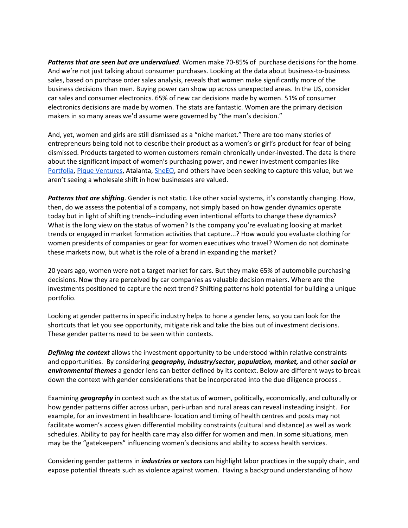*Patterns that are seen but are undervalued*. Women make 70-85% of purchase decisions for the home. And we're not just talking about consumer purchases. Looking at the data about business-to-business sales, based on purchase order sales analysis, reveals that women make significantly more of the business decisions than men. Buying power can show up across unexpected areas. In the US, consider car sales and consumer electronics. 65% of new car decisions made by women. 51% of consumer electronics decisions are made by women. The stats are fantastic. Women are the primary decision makers in so many areas we'd assume were governed by "the man's decision."

And, yet, women and girls are still dismissed as a "niche market." There are too many stories of entrepreneurs being told not to describe their product as a women's or girl's product for fear of being dismissed. Products targeted to women customers remain chronically under-invested. The data is there about the significant impact of women's purchasing power, and newer investment companies lik[e](https://www.portfolia.com/) [Portfolia](https://www.portfolia.com/)[,](http://piqueventures.com/) Pique [Ventures,](http://piqueventures.com/) Atalanta, [SheEO,](http://www.iamasheeo.com/) and others have been seeking to capture this value, but we aren't seeing a wholesale shift in how businesses are valued.

*Patterns that are shifting*. Gender is not static. Like other social systems, it's constantly changing. How, then, do we assess the potential of a company, not simply based on how gender dynamics operate today but in light of shifting trends--including even intentional efforts to change these dynamics? What is the long view on the status of women? Is the company you're evaluating looking at market trends or engaged in market formation activities that capture...? How would you evaluate clothing for women presidents of companies or gear for women executives who travel? Women do not dominate these markets now, but what is the role of a brand in expanding the market?

20 years ago, women were not a target market for cars. But they make 65% of automobile purchasing decisions. Now they are perceived by car companies as valuable decision makers. Where are the investments positioned to capture the next trend? Shifting patterns hold potential for building a unique portfolio.

Looking at gender patterns in specific industry helps to hone a gender lens, so you can look for the shortcuts that let you see opportunity, mitigate risk and take the bias out of investment decisions. These gender patterns need to be seen within contexts.

*Defining the context* allows the investment opportunity to be understood within relative constraints and opportunities. By considering *geography, industry/sector, population, market,* and other *social or environmental themes* a gender lens can better defined by its context. Below are different ways to break down the context with gender considerations that be incorporated into the due diligence process .

Examining *geography* in context such as the status of women, politically, economically, and culturally or how gender patterns differ across urban, peri-urban and rural areas can reveal insteading insight. For example, for an investment in healthcare- location and timing of health centres and posts may not facilitate women's access given differential mobility constraints (cultural and distance) as well as work schedules. Ability to pay for health care may also differ for women and men. In some situations, men may be the "gatekeepers" influencing women's decisions and ability to access health services.

Considering gender patterns in *industries or sectors* can highlight labor practices in the supply chain, and expose potential threats such as violence against women. Having a background understanding of how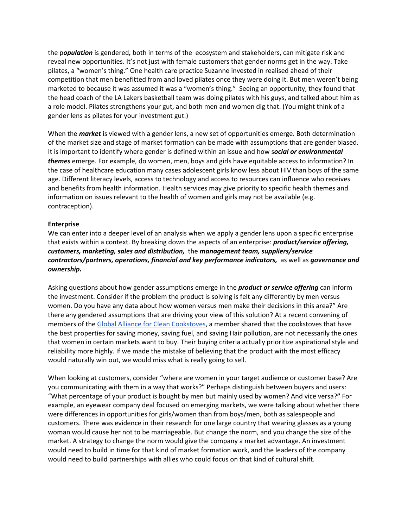the p*opulation* is gendered*,* both in terms of the ecosystem and stakeholders, can mitigate risk and reveal new opportunities. It's not just with female customers that gender norms get in the way. Take pilates, a "women's thing." One health care practice Suzanne invested in realised ahead of their competition that men benefitted from and loved pilates once they were doing it. But men weren't being marketed to because it was assumed it was a "women's thing." Seeing an opportunity, they found that the head coach of the LA Lakers basketball team was doing pilates with his guys, and talked about him as a role model. Pilates strengthens your gut, and both men and women dig that. (You might think of a gender lens as pilates for your investment gut.)

When the *market* is viewed with a gender lens, a new set of opportunities emerge. Both determination of the market size and stage of market formation can be made with assumptions that are gender biased. It is important to identify where gender is defined within an issue and how s*ocial or environmental themes* emerge. For example, do women, men, boys and girls have equitable access to information? In the case of healthcare education many cases adolescent girls know less about HIV than boys of the same age. Different literacy levels, access to technology and access to resources can influence who receives and benefits from health information. Health services may give priority to specific health themes and information on issues relevant to the health of women and girls may not be available (e.g. contraception).

#### **Enterprise**

We can enter into a deeper level of an analysis when we apply a gender lens upon a specific enterprise that exists within a context. By breaking down the aspects of an enterprise: *product/service offering, customers, marketing, sales and distribution,* the *management team, suppliers/service contractors/partners, operations, financial and key performance indicators,* as well as *governance and ownership.*

Asking questions about how gender assumptions emerge in the *product or service offering* can inform the investment. Consider if the problem the product is solving is felt any differently by men versus women. Do you have any data about how women versus men make their decisions in this area?" Are there any gendered assumptions that are driving your view of this solution? At a recent convening of members of the Global Alliance for Clean [Cookstoves,](http://www.cleancookstoves.org/our-work/gender-guide.html) a member shared that the cookstoves that have the best properties for saving money, saving fuel, and saving Hair pollution, are not necessarily the ones that women in certain markets want to buy. Their buying criteria actually prioritize aspirational style and reliability more highly. If we made the mistake of believing that the product with the most efficacy would naturally win out, we would miss what is really going to sell.

When looking at customers, consider "where are women in your target audience or customer base? Are you communicating with them in a way that works?" Perhaps distinguish between buyers and users: "What percentage of your product is bought by men but mainly used by women? And vice versa?**"** For example, an eyewear company deal focused on emerging markets, we were talking about whether there were differences in opportunities for girls/women than from boys/men, both as salespeople and customers. There was evidence in their research for one large country that wearing glasses as a young woman would cause her not to be marriageable. But change the norm, and you change the size of the market. A strategy to change the norm would give the company a market advantage. An investment would need to build in time for that kind of market formation work, and the leaders of the company would need to build partnerships with allies who could focus on that kind of cultural shift.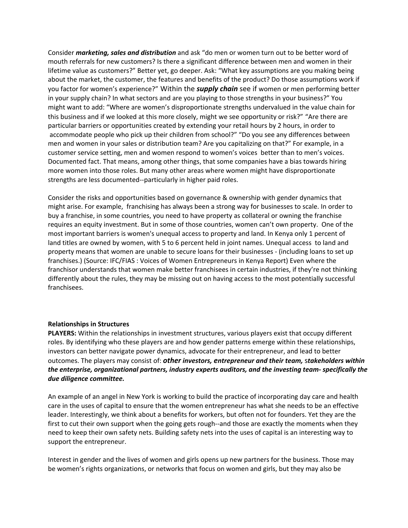Consider *marketing, sales and distribution* and ask "do men or women turn out to be better word of mouth referrals for new customers? Is there a significant difference between men and women in their lifetime value as customers?" Better yet, go deeper. Ask: "What key assumptions are you making being about the market, the customer, the features and benefits of the product? Do those assumptions work if you factor for women's experience?" Within the *supply chain* see if women or men performing better in your supply chain? In what sectors and are you playing to those strengths in your business?" You might want to add: "Where are women's disproportionate strengths undervalued in the value chain for this business and if we looked at this more closely, might we see opportunity or risk?" "Are there are particular barriers or opportunities created by extending your retail hours by 2 hours, in order to accommodate people who pick up their children from school?" "Do you see any differences between men and women in your sales or distribution team? Are you capitalizing on that?" For example, in a customer service setting, men and women respond to women's voices better than to men's voices. Documented fact. That means, among other things, that some companies have a bias towards hiring more women into those roles. But many other areas where women might have disproportionate strengths are less documented--particularly in higher paid roles.

Consider the risks and opportunities based on governance & ownership with gender dynamics that might arise. For example, franchising has always been a strong way for businesses to scale. In order to buy a franchise, in some countries, you need to have property as collateral or owning the franchise requires an equity investment. But in some of those countries, women can't own property. One of the most important barriers is women's unequal access to property and land. In Kenya only 1 percent of land titles are owned by women, with 5 to 6 percent held in joint names. Unequal access to land and property means that women are unable to secure loans for their businesses - (including loans to set up franchises.) (Source: IFC/FIAS : Voices of Women Entrepreneurs in Kenya Report) Even where the franchisor understands that women make better franchisees in certain industries, if they're not thinking differently about the rules, they may be missing out on having access to the most potentially successful franchisees.

#### **Relationships in Structures**

**PLAYERS:** Within the relationships in investment structures, various players exist that occupy different roles. By identifying who these players are and how gender patterns emerge within these relationships, investors can better navigate power dynamics, advocate for their entrepreneur, and lead to better outcomes. The players may consist of: *other investors, entrepreneur and their team,* s*takeholders within the enterprise, organizational partners, industry experts auditors, and the investing team- specifically the due diligence committee.*

An example of an angel in New York is working to build the practice of incorporating day care and health care in the uses of capital to ensure that the women entrepreneur has what she needs to be an effective leader. Interestingly, we think about a benefits for workers, but often not for founders. Yet they are the first to cut their own support when the going gets rough--and those are exactly the moments when they need to keep their own safety nets. Building safety nets into the uses of capital is an interesting way to support the entrepreneur.

Interest in gender and the lives of women and girls opens up new partners for the business. Those may be women's rights organizations, or networks that focus on women and girls, but they may also be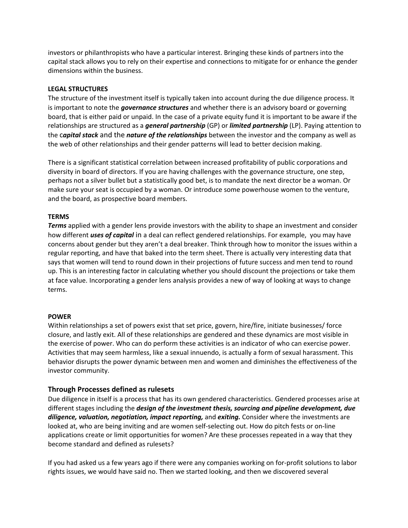investors or philanthropists who have a particular interest. Bringing these kinds of partners into the capital stack allows you to rely on their expertise and connections to mitigate for or enhance the gender dimensions within the business.

#### **LEGAL STRUCTURES**

The structure of the investment itself is typically taken into account during the due diligence process. It is important to note the *governance structures* and whether there is an advisory board or governing board, that is either paid or unpaid. In the case of a private equity fund it is important to be aware if the relationships are structured as a *general partnership* (GP) or *limited partnership* (LP). Paying attention to the c*apital stack* and the *nature of the relationships* between the investor and the company as well as the web of other relationships and their gender patterns will lead to better decision making.

There is a significant statistical correlation between increased profitability of public corporations and diversity in board of directors. If you are having challenges with the governance structure, one step, perhaps not a silver bullet but a statistically good bet, is to mandate the next director be a woman. Or make sure your seat is occupied by a woman. Or introduce some powerhouse women to the venture, and the board, as prospective board members.

#### **TERMS**

*Terms* applied with a gender lens provide investors with the ability to shape an investment and consider how different *uses of capital* in a deal can reflect gendered relationships. For example, you may have concerns about gender but they aren't a deal breaker. Think through how to monitor the issues within a regular reporting, and have that baked into the term sheet. There is actually very interesting data that says that women will tend to round down in their projections of future success and men tend to round up. This is an interesting factor in calculating whether you should discount the projections or take them at face value. Incorporating a gender lens analysis provides a new of way of looking at ways to change terms.

#### **POWER**

Within relationships a set of powers exist that set price, govern, hire/fire, initiate businesses/ force closure, and lastly exit. All of these relationships are gendered and these dynamics are most visible in the exercise of power. Who can do perform these activities is an indicator of who can exercise power. Activities that may seem harmless, like a sexual innuendo, is actually a form of sexual harassment. This behavior disrupts the power dynamic between men and women and diminishes the effectiveness of the investor community.

## **Through Processes defined as rulesets**

Due diligence in itself is a process that has its own gendered characteristics. Gendered processes arise at different stages including the *design of the investment thesis, sourcing and pipeline development, due diligence, valuation, negotiation, impact reporting,* and *exiting.* Consider where the investments are looked at, who are being inviting and are women self-selecting out. How do pitch fests or on-line applications create or limit opportunities for women? Are these processes repeated in a way that they become standard and defined as rulesets?

If you had asked us a few years ago if there were any companies working on for-profit solutions to labor rights issues, we would have said no. Then we started looking, and then we discovered several